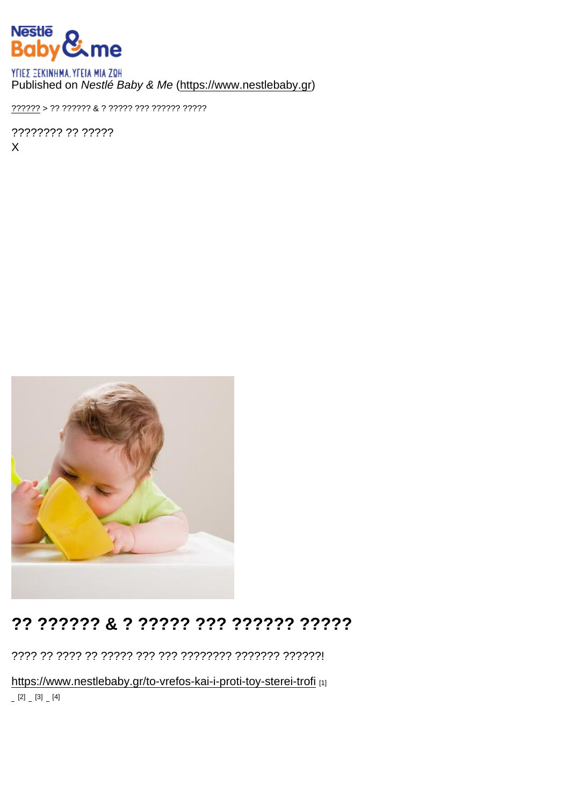#### Published on Nestlé Baby & Me [\(https://www.nestlebaby.gr](https://www.nestlebaby.gr))

[??????](https://www.nestlebaby.gr/) > ?? ?????? & ? ????? ??? ?????? ?????

???????? ?? ????? X

# ?? ?????? & ? ????? ??? ?????? ?????

???? ?? ???? ?? ????? ??? ??? ???????? ??????? ??????!

<https://www.nestlebaby.gr/to-vrefos-kai-i-proti-toy-sterei-trofi> [1]  $[2]$   $[3]$   $[4]$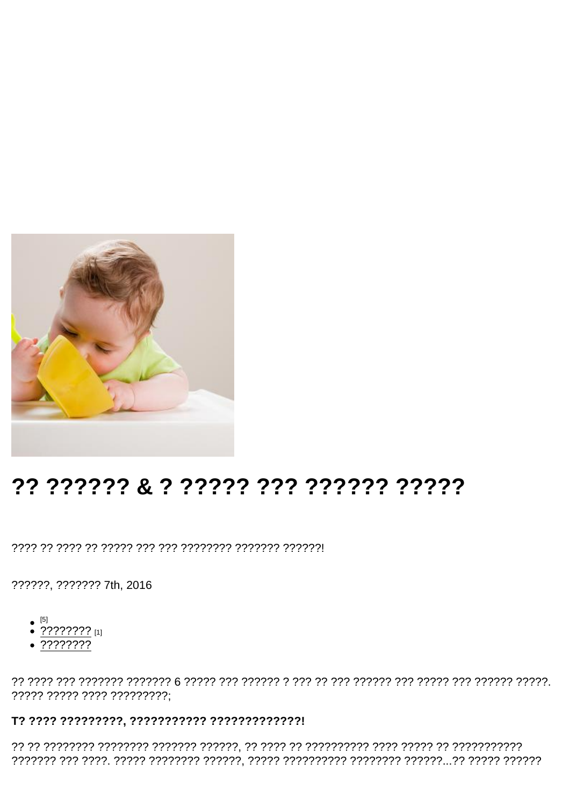# ?? ?????? & ? ????? ??? ?????? ?????

??????, ??????? 7th, 2016

- $\bullet$  [5]
- $??\;??\;??\;?$
- $\sqrt{???????}$

????? ????? ???? ?????????;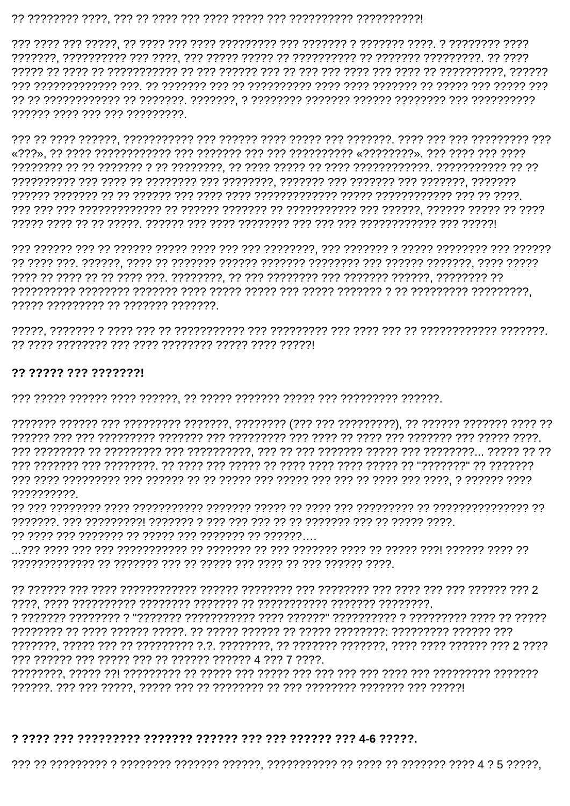### 

777777 7777 777 777 777777777

????? ????????? ?? ??????? ???????

### ?? ????? ??? ???????!

??????????

##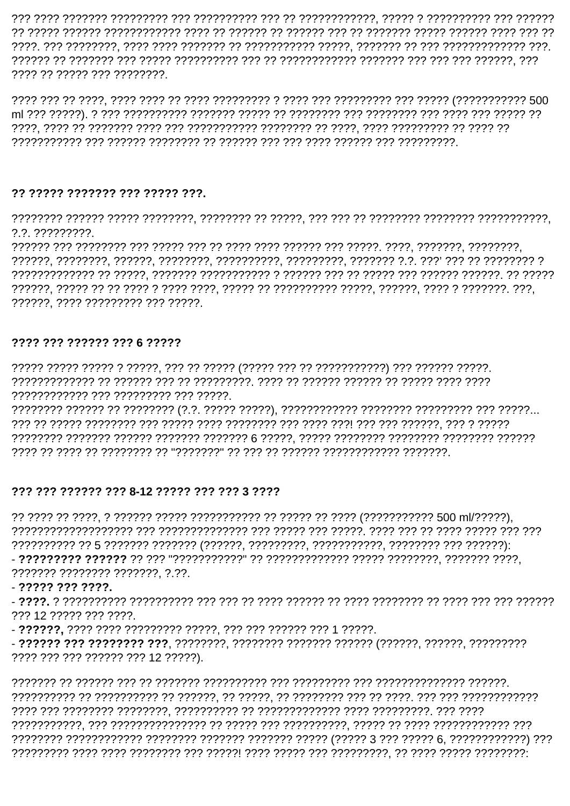???? ?? ????? ??? ????????.

#### ?? ????? ??????? ??? ????? ???.

? ? ?????????

??????. ???? ????????? ??? ?????.

#### ???? ??? ?????? ??? 6 ?????

???????????? ??? ????????? ??? ?????.

#### ??? ??? ?????? ??? 8-12 ????? ??? ??? 3 ????

??????? ???????? ???????, ?.??.

777 12 77777 777 7777

???? ??? ??? ?????? ??? 12 ?????).